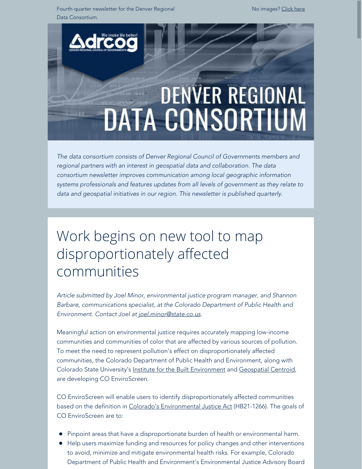Fourth-quarter newsletter for the Denver Regional Data Consortium.

No images? [Click here](https://drcog.createsend1.com/t/d-e-ajtkdit-l-yd/)

# **DENVER REGIONAL DATA CONSORTIUM**

*The data consortium consists of Denver Regional Council of Governments members and regional partners with an interest in geospatial data and collaboration. The data consortium newsletter improves communication among local geographic information systems professionals and features updates from all levels of government as they relate to data and geospatial initiatives in our region. This newsletter is published quarterly.*

# Work begins on new tool to map disproportionately affected communities

*Article submitted by Joel Minor, environmental justice program manager, and Shannon Barbare, communications specialist, at the Colorado Department of Public Health and Environment. Contact Joel at [joel.minor@state.co.us](mailto:joel.minor@state.co.us).*

Meaningful action on environmental justice requires accurately mapping low-income communities and communities of color that are affected by various sources of pollution. To meet the need to represent pollution's effect on disproportionately affected communities, the Colorado Department of Public Health and Environment, along with Colorado State University's [Institute for the Built Environment](https://drcog.createsend1.com/t/d-l-ajtkdit-l-y/) and [Geospatial Centroid](https://drcog.createsend1.com/t/d-l-ajtkdit-l-j/), are developing CO EnviroScreen.

CO EnviroScreen will enable users to identify disproportionately affected communities based on the definition in [Colorado's Environmental Justice Act](https://drcog.createsend1.com/t/d-l-ajtkdit-l-t/) (HB21-1266). The goals of CO EnviroScreen are to:

- Pinpoint areas that have a disproportionate burden of health or environmental harm.
- Help users maximize funding and resources for policy changes and other interventions to avoid, minimize and mitigate environmental health risks. For example, Colorado Department of Public Health and Environment's Environmental Justice Advisory Board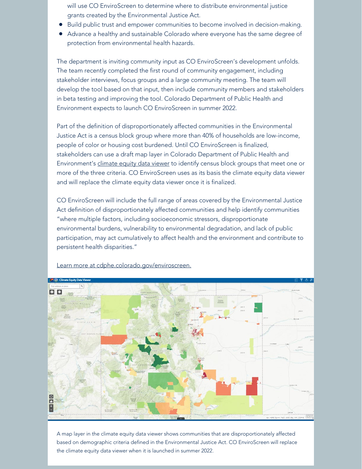will use CO EnviroScreen to determine where to distribute environmental justice grants created by the Environmental Justice Act.

- Build public trust and empower communities to become involved in decision-making.
- Advance a healthy and sustainable Colorado where everyone has the same degree of protection from environmental health hazards.

The department is inviting community input as CO EnviroScreen's development unfolds. The team recently completed the first round of community engagement, including stakeholder interviews, focus groups and a large community meeting. The team will develop the tool based on that input, then include community members and stakeholders in beta testing and improving the tool. Colorado Department of Public Health and Environment expects to launch CO EnviroScreen in summer 2022.

Part of the definition of disproportionately affected communities in the Environmental Justice Act is a census block group where more than 40% of households are low-income, people of color or housing cost burdened. Until CO EnviroScreen is finalized, stakeholders can use a draft map layer in Colorado Department of Public Health and Environment's [climate equity data viewer](https://drcog.createsend1.com/t/d-l-ajtkdit-l-i/) to identify census block groups that meet one or more of the three criteria. CO EnviroScreen uses as its basis the climate equity data viewer and will replace the climate equity data viewer once it is finalized.

CO EnviroScreen will include the full range of areas covered by the Environmental Justice Act definition of disproportionately affected communities and help identify communities "where multiple factors, including socioeconomic stressors, disproportionate environmental burdens, vulnerability to environmental degradation, and lack of public participation, may act cumulatively to affect health and the environment and contribute to persistent health disparities."



[Learn more at cdphe.colorado.gov/enviroscreen.](https://drcog.createsend1.com/t/d-l-ajtkdit-l-d/)

A map layer in the climate equity data viewer shows communities that are disproportionately affected based on demographic criteria defined in the Environmental Justice Act. CO EnviroScreen will replace the climate equity data viewer when it is launched in summer 2022.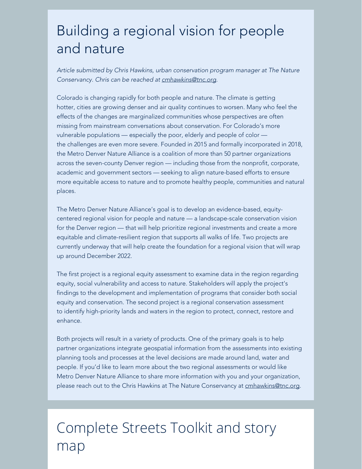## Building a regional vision for people and nature

*Article submitted by Chris Hawkins, urban conservation program manager at The Nature Conservancy. Chris can be reached at [cmhawkins@tnc.org](mailto:cmhawkins@tnc.org).*

Colorado is changing rapidly for both people and nature. The climate is getting hotter, cities are growing denser and air quality continues to worsen. Many who feel the effects of the changes are marginalized communities whose perspectives are often missing from mainstream conversations about conservation. For Colorado's more vulnerable populations — especially the poor, elderly and people of color the challenges are even more severe. Founded in 2015 and formally incorporated in 2018, the Metro Denver Nature Alliance is a coalition of more than 50 partner organizations across the seven-county Denver region — including those from the nonprofit, corporate, academic and government sectors — seeking to align nature-based efforts to ensure more equitable access to nature and to promote healthy people, communities and natural places.

The Metro Denver Nature Alliance's goal is to develop an evidence-based, equitycentered regional vision for people and nature — a landscape-scale conservation vision for the Denver region — that will help prioritize regional investments and create a more equitable and climate-resilient region that supports all walks of life. Two projects are currently underway that will help create the foundation for a regional vision that will wrap up around December 2022.

The first project is a regional equity assessment to examine data in the region regarding equity, social vulnerability and access to nature. Stakeholders will apply the project's findings to the development and implementation of programs that consider both social equity and conservation. The second project is a regional conservation assessment to identify high-priority lands and waters in the region to protect, connect, restore and enhance.

Both projects will result in a variety of products. One of the primary goals is to help partner organizations integrate geospatial information from the assessments into existing planning tools and processes at the level decisions are made around land, water and people. If you'd like to learn more about the two regional assessments or would like Metro Denver Nature Alliance to share more information with you and your organization, please reach out to the Chris Hawkins at The Nature Conservancy at [cmhawkins@tnc.org](mailto:cmhawkins@tnc.org).

# Complete Streets Toolkit and story map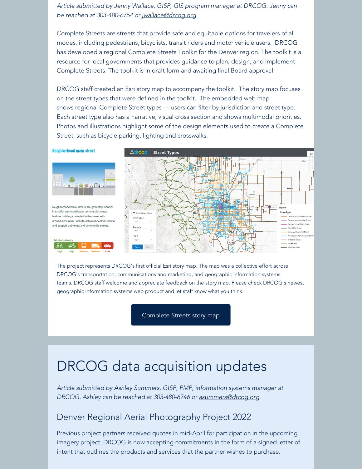*Article submitted by Jenny Wallace, GISP, GIS program manager at DRCOG. Jenny can be reached at 303-480-6754 or [jwallace@drcog.org.](mailto:jwallace@drcog.org)*

Complete Streets are streets that provide safe and equitable options for travelers of all modes, including pedestrians, bicyclists, transit riders and motor vehicle users. DRCOG has developed a regional Complete Streets Toolkit for the Denver region. The toolkit is a resource for local governments that provides guidance to plan, design, and implement Complete Streets. The toolkit is in draft form and awaiting final Board approval.

DRCOG staff created an Esri story map to accompany the toolkit. The story map focuses on the street types that were defined in the toolkit. The embedded web map shows regional Complete Street types — users can filter by jurisdiction and street type. Each street type also has a narrative, visual cross section and shows multimodal priorities. Photos and illustrations highlight some of the design elements used to create a Complete Street, such as bicycle parking, lighting and crosswalks.

#### **Neighborhood main street** Adrooa **Street Types** 田彦 Neighborhood main streets are generally locate in smaller communities or commercial areas, feature buildings oriented to the street with .<br>Downtown Mixed Use Street ground-floor retail, include active pedestrian space Neighborhood Main Drea and support gathering and community events Mond the firest liag onal Connect cichoarte ad Con **Sand Road**

The project represents DRCOG's first official Esri story map. The map was a collective effort across DRCOG's transportation, communications and marketing, and geographic information systems teams. DRCOG staff welcome and appreciate feedback on the story map. Please check DRCOG's newest geographic information systems web product and let staff know what you think:

[Complete Streets story map](https://drcog.createsend1.com/t/d-l-ajtkdit-l-k/)

### DRCOG data acquisition updates

*Article submitted by Ashley Summers, GISP, PMP, information systems manager at DRCOG. Ashley can be reached at 303-480-6746 or [asummers@drcog.org](mailto:asummers@drcog.org).*

#### Denver Regional Aerial Photography Project 2022

Previous project partners received quotes in mid-April for participation in the upcoming imagery project. DRCOG is now accepting commitments in the form of a signed letter of intent that outlines the products and services that the partner wishes to purchase.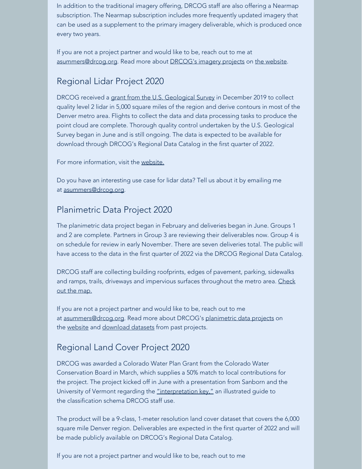In addition to the traditional imagery offering, DRCOG staff are also offering a Nearmap subscription. The Nearmap subscription includes more frequently updated imagery that can be used as a supplement to the primary imagery deliverable, which is produced once every two years.

If you are not a project partner and would like to be, reach out to me at [asummers@drcog.org](mailto:asummers@drcog.org). Read more about DRCOG's [imagery projects](https://drcog.createsend1.com/t/d-l-ajtkdit-l-u/) on [the website](https://drcog.createsend1.com/t/d-l-ajtkdit-l-o/).

#### Regional Lidar Project 2020

DRCOG received a [grant from the U.S. Geological Survey](https://drcog.createsend1.com/t/d-l-ajtkdit-l-b/) in December 2019 to collect quality level 2 lidar in 5,000 square miles of the region and derive contours in most of the Denver metro area. Flights to collect the data and data processing tasks to produce the point cloud are complete. Thorough quality control undertaken by the U.S. Geological Survey began in June and is still ongoing. The data is expected to be available for download through DRCOG's Regional Data Catalog in the first quarter of 2022.

For more information, visit the [website.](https://drcog.createsend1.com/t/d-l-ajtkdit-l-n/)

Do you have an interesting use case for lidar data? Tell us about it by emailing me at [asummers@drcog.org](mailto:asummers@drcog.org).

#### Planimetric Data Project 2020

The planimetric data project began in February and deliveries began in June. Groups 1 and 2 are complete. Partners in Group 3 are reviewing their deliverables now. Group 4 is on schedule for review in early November. There are seven deliveries total. The public will have access to the data in the first quarter of 2022 via the DRCOG Regional Data Catalog.

DRCOG staff are collecting building roofprints, edges of pavement, parking, sidewalks and ramps, trails, driveways and impervious surfaces throughout the metro area. [Check](https://drcog.createsend1.com/t/d-l-ajtkdit-l-p/) [out the map.](https://drcog.createsend1.com/t/d-l-ajtkdit-l-p/)

If you are not a project partner and would like to be, reach out to me at [asummers@drcog.org](mailto:asummers@drcog.org). Read more about DRCOG's [planimetric data projects](https://drcog.createsend1.com/t/d-l-ajtkdit-l-m/) on the [website](https://drcog.createsend1.com/t/d-l-ajtkdit-l-c/) and [download datasets](https://drcog.createsend1.com/t/d-l-ajtkdit-l-q/) from past projects.

#### Regional Land Cover Project 2020

DRCOG was awarded a Colorado Water Plan Grant from the Colorado Water Conservation Board in March, which supplies a 50% match to local contributions for the project. The project kicked off in June with a presentation from Sanborn and the University of Vermont regarding the ["interpretation key,"](https://drcog.createsend1.com/t/d-l-ajtkdit-l-a/) an illustrated guide to the classification schema DRCOG staff use.

The product will be a 9-class, 1-meter resolution land cover dataset that covers the 6,000 square mile Denver region. Deliverables are expected in the first quarter of 2022 and will be made publicly available on DRCOG's Regional Data Catalog.

If you are not a project partner and would like to be, reach out to me